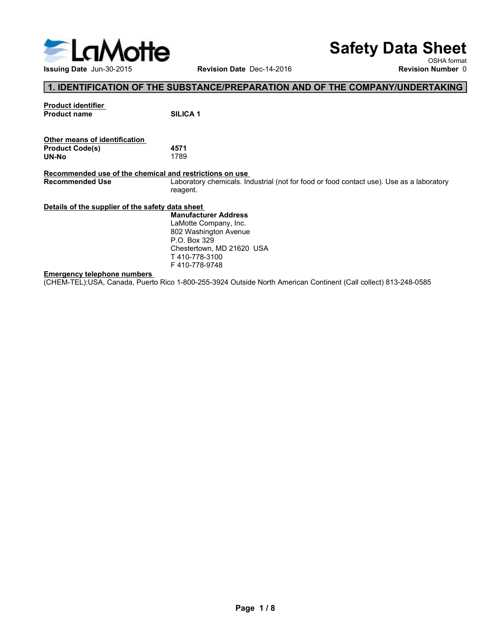

# Safety Data Sheet

OSHA format<br>Revision Number 0

# 1. IDENTIFICATION OF THE SUBSTANCE/PREPARATION AND OF THE COMPANY/UNDERTAKING

| <b>Product identifier</b> |                 |
|---------------------------|-----------------|
| <b>Product name</b>       | <b>SILICA 1</b> |
|                           |                 |

| Other means of identification |      |  |  |
|-------------------------------|------|--|--|
| <b>Product Code(s)</b>        | 4571 |  |  |
| UN-No                         | 1789 |  |  |

Safety Data Si<br>
Issuing Date Jun-30-2015<br>
1. IDENTIFICATION OF THE SUBSTANCE/PREPARATION AND OF THE COMPANY/UNDERT/<br>
Product identifier<br>
Product Code(s)<br>
Product Code(s)<br>
Accommended use of the chemical and restrictions on Safety Data Sheet<br>
Issuing Date Jun-30-2015<br>
Revision Date Dec-14-2016<br>
Revision Number (Revision Number of the Community of the chemical and restrictions<br>
Product code(s)<br>
Product Code(s)<br>
Recommended use of the chemical Safety Data Sheet<br>
Revision Date Dec-14-2016<br> **Recommended Use Contact Department**<br> **Recommended Use of the chemical contact use**<br>
Product code(s)<br>
Product code(s)<br>
Product Code(s)<br> **Product Code(s)**<br> **Recommended Use of t** reagent. Safety Data She<br>
Issuing Date Jun-30-2015<br>
1. IDENTIFICATION OF THE SUBSTANCE/PREPARATION AND OF THE COMPANY/UNDERTAKI<br>
Product Code(s)<br>
Product Code(s)<br>
Other means of identification.<br>
Succa 1<br>
Second<br>
Recommended use of (CHEM-TEL):USA, Canada, Puerto Rico 1-800-255-3924 Outside North American Continent (Call collect) 813-248-0585<br>
Emergency telephone numbers<br>
Emergency telephone numbers<br>
Emergency telephone numbers<br>
Emergency telephone nu

Issuing Date Jun-30-2015<br> **Emergency telephone numbers**<br> **Emergency telephone numbers**<br>
Emergency telephone numbers<br>
Emergency telephone numbers<br>
CHEM-TEL);USA, Canada, Puerto Rico 1-800-255-3924 Outside North American Con **Safety Data Sheet**<br>
Revision Date Dec-14-2016<br>
WBSTANCE/PREPARATION AND OF THE COMPANY/UNDERTAKING<br>
SILICA 1<br>
4571<br>
1789<br>
and restrictions on use.<br>
Laboratory chemicals. Industrial (not for food or food contact use). Use **Safety Data Sheet**<br>
Revision Date Dec-14-2016<br>
New Sch Aformat<br>
SUBSTANCE/PREPARATION AND OF THE COMPANY/UNDERTAKING<br>
SILICA 1<br>
SILICA 1<br>
SILICA 1<br>
SILICA 1<br>
SILICA 1<br>
SILICA 1<br>
Manufacturer Address<br>
Manufacturer Address<br> **Safety Data Sheet**<br>
Revision Date Dec-14-2016<br> **BUBSTANCE/PREPARATION AND OF THE COMPANY/UNDERTAKING**<br>
SILICA 1<br> **SILICA 1**<br> **ASPT**<br> **ASPT**<br> **EXECUTE:**<br> **EXECUTE:**<br> **EXECUTE:**<br> **EXECUTE:**<br> **EXECUTE:**<br> **EXECUTE:**<br> **EXECUTE** P.O. Box 329 **Safety Data Sheet**<br>
Revision Date Dec-14-2016<br>
Newsloon Number 0<br>
SUBSTANCE/PREPARATION AND OF THE COMPANY/UNDERTAKING<br>
SILICA 1<br>
AS571<br>
ITES<br>
ILICA 1<br>
Laboratory chemicals. Industrial (not for food or food contact use). T 410-778-3100 F 410-778-9748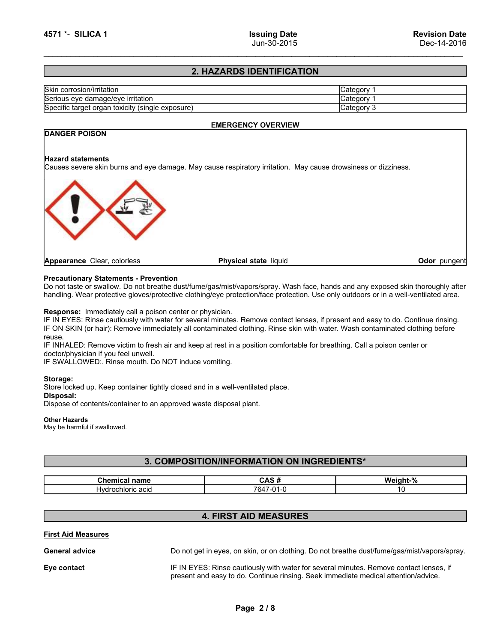# 2. HAZARDS IDENTIFICATION

| <b>Issuing Date</b><br>Jun-30-2015<br>2. HAZARDS IDENTIFICATION<br>Category 1<br>Category 1<br>Category 3<br><b>EMERGENCY OVERVIEW</b> |                           |  |
|----------------------------------------------------------------------------------------------------------------------------------------|---------------------------|--|
| 4571 *- SILICA 1                                                                                                                       |                           |  |
|                                                                                                                                        |                           |  |
|                                                                                                                                        |                           |  |
|                                                                                                                                        |                           |  |
|                                                                                                                                        |                           |  |
|                                                                                                                                        |                           |  |
|                                                                                                                                        |                           |  |
|                                                                                                                                        |                           |  |
|                                                                                                                                        |                           |  |
|                                                                                                                                        |                           |  |
| <b>Revision Date</b><br>Dec-14-2016                                                                                                    |                           |  |
|                                                                                                                                        |                           |  |
|                                                                                                                                        |                           |  |
|                                                                                                                                        |                           |  |
|                                                                                                                                        |                           |  |
|                                                                                                                                        |                           |  |
|                                                                                                                                        |                           |  |
|                                                                                                                                        |                           |  |
|                                                                                                                                        |                           |  |
| Serious eye damage/eye irritation<br>Serious eye damage/eye irritation<br>Specific target organ toxicity (single exposure)             |                           |  |
|                                                                                                                                        |                           |  |
|                                                                                                                                        | Skin corrosion/irritation |  |
|                                                                                                                                        |                           |  |
|                                                                                                                                        |                           |  |
|                                                                                                                                        |                           |  |
|                                                                                                                                        | <b>DANGER POISON</b>      |  |

# SERIO ANGLE AND SERIOR OF ENGLENCY OVERVIEW<br>
Serious eye damage/eye irritation<br>
Serious eye damage/eye irritation<br>
Serious eye damage/eye irritation<br>
Serious eye damage/eye irritation<br>
Category 1<br>
Category 1<br>
Category 1<br>
C Specific target organ toxicity (single exposure)<br>
Specific target organ toxicity (single exposure)<br>
EMERGENCY OVERVIEW<br>
Specific target organ toxicity (single exposure)<br>
Category 1<br>
Category 1<br>
Category 3<br>
Category 3<br>
Cate EMERGENCY OVERVIEW **EXERCT SCALL STATE STATE AT AND SERVIT SERVIT AND SERVIT SERVIT AND SERVIT SERVIT SERVIT SERVIT SERVIT SERVIT<br>
Specific target organ toxicity (single exposure)<br>
<b>EMERGENCY OVERVIEW**<br> **PREVENCE POISON**<br> **PREVENCE POISON**<br> Contest or sy damage or tritation<br>
Serious eye damage or tritation<br>
Serious eye damage or tritation<br>
Paperance Clear, colories<br>
Hazard statements<br>
Causes ververe skin burns and eye damage. May cause respiratory irritation. Serio corresponding. Wear protective gloves/protective gloves/protective gloves/protective clothing/expansions of the margin system of Catagory 3<br>
Spacific target organ toxicity (aingle exposure)<br>
Handle statements<br>
Causes Calegroy 3<br>
Specific target organ toxicity (single exposure)<br>
Categroy 3<br>
DANGER POISON<br>
FREERGENCY OVERVIEW<br>
Categroy 3<br>
Categroy 3<br>
Categroy 3<br>
Categroy 3<br>
Categroy 3<br>
Categroy 3<br>
Categroy 3<br>
Categroy 3<br>
Categroy 3<br>
Cate Detailed and the several minutes.<br>
IF IN EXAMPLE AND A CHANNE CHANNE CHANNE CHANNE CHANNE CHANNE CHANNE CHANNE CHANNE CHANNE CHANNE CHANNE CHANNE CHANNE CHANNE CHANNEL CHANNEL CHANNEL CHANNEL CHANNEL CHANNEL CHANNEL CHANNE **IF ON SER POISON**<br> **EMERGENCY OVERVIEW**<br> **EQUISE SERVIEW CONDUCTS**<br> **EQUISE SERVIEW CONDUCTS**<br> **Procession by Statements**<br> **Procession by Statements**<br> **Procession and Service immediately all and procession of the statemen IF INTERNATED:**<br> **IF INTERNATED:**<br> **Appearance** Clear, colories<br> **Precautionary Statements - Prevention**<br> **Precautionary Statements - Prevention**<br> **Precautionary Statements - Prevention**<br> **Predautionary Statements - Preve** Mazard statements<br>
Causes severe skin burns and eye damage. May cause respiratory irritation. May cause drowsiness or dizzin<br>
Causes severe skin burns and eye damage. May cause respiratory irritation. May cause drowsiness Hazard statements<br>
Causes severe skin burns and eye damage. May cause respiratory irritation. May cause drowshess or dizziness.<br> **Appearance** Clear, colories<br> **Properationary Statements - Prevention**<br>
Do not taste or swall Store local containers and the membership of the magnitude of the store of the state of the store of the store of the store of the state of the state of the store of the state of the state of the state of the state of the **Examples and Contents, and Contents, and Container to an approved waste disposed plant.**<br> **Dispose of contents of contents of contents of the anti-metallical plants in the contents of containing was protection disponses o** DANGER POISON 4571 \*- SILICA 1<br>
1997 - SILICA 1<br>
2. HAZARDS IDENTIFICATION<br>
Skin corrosion/irritation<br>
Serious eye damage/eye irritation<br>
Specific target organ toxicity (single exposure)<br>
EMERGENCY OVERVIEW<br>
DANGER POISON<br>
Hazard statem SILICA 1 Issuing Date<br>
Jun-30-2015<br>
Cause over 14-2016<br>
Sim corresion/irritation<br>
Sim corresion/irritation<br>
Sim corresion/irritation<br>
Sim corresion/irritation<br>
Sim corresion/irritation.<br>
Sim corresion/irritation.<br>
Causes v 2. HAZARDS IDENTIFICATION<br>
Serious eye damageleye irritation<br>
Serious eye damageleye irritation<br>
Specific target organ toxicity (single exposure)<br>
ANAGER POISON<br>
Hazard statements<br>
Causes severe skin burns and eye damage.

**Example 1:**<br>
Statements - Prevention<br>
wallow. Do not breathe dust/furne/gas/mist/vapors/spray. Wash face, hands and any exposed skin thoroughly after<br>
chemical colours content content provide content of a content of a wei Statements - Prevention<br>
Statements - Prevention<br>
Statements - Prevention Statements and the control of the scheme of the scheme of the<br>
Hydrochloric active gives protection and position of the solution of the set of the<br> reuse.

# Storage:

## Other Hazards

# 3. COMPOSITION/INFORMATION ON INGREDIENTS\*

| Chemical<br>name                   | . .<br>π<br>-                              | $^{\circ}$<br>Wei.<br>.<br>11 L -<br>'70 |
|------------------------------------|--------------------------------------------|------------------------------------------|
| ochloric acid <sup>.</sup><br>Hvdr | $\sim$ $\sim$<br>O <sup>21</sup><br>.<br>ີ |                                          |

# 4. FIRST AID MEASURES

| reuse.<br>doctor/physician if you feel unwell.<br>IF SWALLOWED:. Rinse mouth. Do NOT induce vomiting.                                                                         | IF ON SKIN (or hair): Remove immediately all contaminated clothing. Rinse skin with water. Wash contaminated clothing before<br>IF INHALED: Remove victim to fresh air and keep at rest in a position comfortable for breathing. Call a poison center or |          |
|-------------------------------------------------------------------------------------------------------------------------------------------------------------------------------|----------------------------------------------------------------------------------------------------------------------------------------------------------------------------------------------------------------------------------------------------------|----------|
| Storage:<br>Store locked up. Keep container tightly closed and in a well-ventilated place.<br>Disposal:<br>Dispose of contents/container to an approved waste disposal plant. |                                                                                                                                                                                                                                                          |          |
| <b>Other Hazards</b><br>May be harmful if swallowed.                                                                                                                          |                                                                                                                                                                                                                                                          |          |
|                                                                                                                                                                               | 3. COMPOSITION/INFORMATION ON INGREDIENTS*                                                                                                                                                                                                               |          |
| <b>Chemical name</b>                                                                                                                                                          | CAS#                                                                                                                                                                                                                                                     | Weight-% |
| Hydrochloric acid                                                                                                                                                             | 7647-01-0                                                                                                                                                                                                                                                | 10       |
|                                                                                                                                                                               |                                                                                                                                                                                                                                                          |          |
|                                                                                                                                                                               | <b>4. FIRST AID MEASURES</b>                                                                                                                                                                                                                             |          |
| <b>First Aid Measures</b>                                                                                                                                                     |                                                                                                                                                                                                                                                          |          |
| <b>General advice</b>                                                                                                                                                         | Do not get in eyes, on skin, or on clothing. Do not breathe dust/fume/gas/mist/vapors/spray.                                                                                                                                                             |          |
| Eye contact                                                                                                                                                                   | IF IN EYES: Rinse cautiously with water for several minutes. Remove contact lenses, if<br>present and easy to do. Continue rinsing. Seek immediate medical attention/advice.                                                                             |          |
|                                                                                                                                                                               | Page 2/8                                                                                                                                                                                                                                                 |          |
|                                                                                                                                                                               |                                                                                                                                                                                                                                                          |          |
|                                                                                                                                                                               |                                                                                                                                                                                                                                                          |          |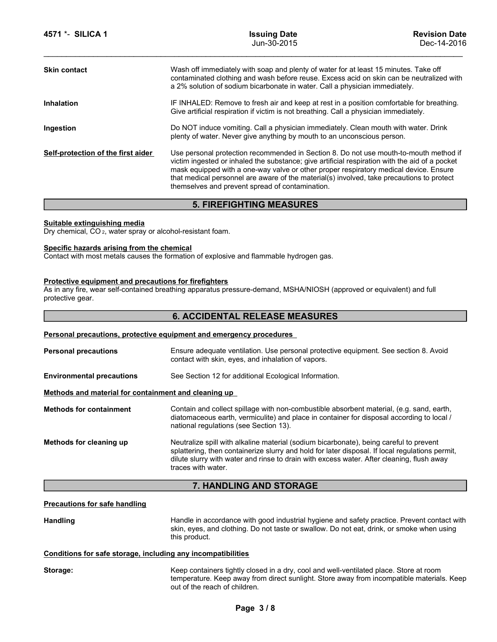| 4571 *- SILICA 1<br><b>Issuing Date</b><br><b>Revision Date</b><br>Jun-30-2015<br>Dec-14-2016                                                                                                                                                                                                                                                                                                                                                                          |
|------------------------------------------------------------------------------------------------------------------------------------------------------------------------------------------------------------------------------------------------------------------------------------------------------------------------------------------------------------------------------------------------------------------------------------------------------------------------|
| Wash off immediately with soap and plenty of water for at least 15 minutes. Take off<br><b>Skin contact</b><br>contaminated clothing and wash before reuse. Excess acid on skin can be neutralized with<br>a 2% solution of sodium bicarbonate in water. Call a physician immediately.                                                                                                                                                                                 |
| IF INHALED: Remove to fresh air and keep at rest in a position comfortable for breathing.<br><b>Inhalation</b><br>Give artificial respiration if victim is not breathing. Call a physician immediately.                                                                                                                                                                                                                                                                |
| Do NOT induce vomiting. Call a physician immediately. Clean mouth with water. Drink<br>Ingestion<br>plenty of water. Never give anything by mouth to an unconscious person.                                                                                                                                                                                                                                                                                            |
| Use personal protection recommended in Section 8. Do not use mouth-to-mouth method if<br>Self-protection of the first aider<br>victim ingested or inhaled the substance; give artificial respiration with the aid of a pocket<br>mask equipped with a one-way valve or other proper respiratory medical device. Ensure<br>that medical personnel are aware of the material(s) involved, take precautions to protect<br>themselves and prevent spread of contamination. |
| <b>5. FIREFIGHTING MEASURES</b>                                                                                                                                                                                                                                                                                                                                                                                                                                        |
| Suitable extinguishing media<br>Dry chemical, CO <sub>2</sub> , water spray or alcohol-resistant foam.                                                                                                                                                                                                                                                                                                                                                                 |
| Specific hazards arising from the chemical<br>Contact with most metals causes the formation of explosive and flammable hydrogen gas.                                                                                                                                                                                                                                                                                                                                   |
| Protective equipment and precautions for firefighters<br>As in any fire, wear self-contained breathing apparatus pressure-demand, MSHA/NIOSH (approved or equivalent) and full<br>protective gear.                                                                                                                                                                                                                                                                     |
| <b>6. ACCIDENTAL RELEASE MEASURES</b>                                                                                                                                                                                                                                                                                                                                                                                                                                  |
|                                                                                                                                                                                                                                                                                                                                                                                                                                                                        |
| Personal precautions, protective equipment and emergency procedures                                                                                                                                                                                                                                                                                                                                                                                                    |
| Ensure adequate ventilation. Use personal protective equipment. See section 8. Avoid<br><b>Personal precautions</b><br>contact with skin, eyes, and inhalation of vapors.                                                                                                                                                                                                                                                                                              |
| <b>Environmental precautions</b><br>See Section 12 for additional Ecological Information.                                                                                                                                                                                                                                                                                                                                                                              |

# 6. ACCIDENTAL RELEASE MEASURES

| <b>5. FIREFIGHTING MEASURES</b><br>Suitable extinguishing media<br>Dry chemical, CO <sub>2</sub> , water spray or alcohol-resistant foam.<br>Specific hazards arising from the chemical<br>Contact with most metals causes the formation of explosive and flammable hydrogen gas.<br>Protective equipment and precautions for firefighters<br>As in any fire, wear self-contained breathing apparatus pressure-demand, MSHA/NIOSH (approved or equivalent) and full<br>protective gear.<br><b>6. ACCIDENTAL RELEASE MEASURES</b><br>Personal precautions, protective equipment and emergency procedures<br>Ensure adequate ventilation. Use personal protective equipment. See section 8. Avoid<br><b>Personal precautions</b><br>contact with skin, eyes, and inhalation of vapors.<br><b>Environmental precautions</b><br>See Section 12 for additional Ecological Information.<br>Methods and material for containment and cleaning up<br>Contain and collect spillage with non-combustible absorbent material, (e.g. sand, earth,<br><b>Methods for containment</b><br>diatomaceous earth, vermiculite) and place in container for disposal according to local /<br>national regulations (see Section 13).<br>Neutralize spill with alkaline material (sodium bicarbonate), being careful to prevent<br>Methods for cleaning up<br>splattering, then containerize slurry and hold for later disposal. If local regulations permit,<br>dilute slurry with water and rinse to drain with excess water. After cleaning, flush away<br>traces with water.<br>7. HANDLING AND STORAGE<br><b>Precautions for safe handling</b><br>Handle in accordance with good industrial hygiene and safety practice. Prevent contact with<br><b>Handling</b><br>skin, eyes, and clothing. Do not taste or swallow. Do not eat, drink, or smoke when using<br>this product.<br>Conditions for safe storage, including any incompatibilities | Self-protection of the first aider | Use personal protection recommended in Section 8. Do not use mouth-to-mouth method if<br>victim ingested or inhaled the substance; give artificial respiration with the aid of a pocket<br>mask equipped with a one-way valve or other proper respiratory medical device. Ensure<br>that medical personnel are aware of the material(s) involved, take precautions to protect<br>themselves and prevent spread of contamination. |
|------------------------------------------------------------------------------------------------------------------------------------------------------------------------------------------------------------------------------------------------------------------------------------------------------------------------------------------------------------------------------------------------------------------------------------------------------------------------------------------------------------------------------------------------------------------------------------------------------------------------------------------------------------------------------------------------------------------------------------------------------------------------------------------------------------------------------------------------------------------------------------------------------------------------------------------------------------------------------------------------------------------------------------------------------------------------------------------------------------------------------------------------------------------------------------------------------------------------------------------------------------------------------------------------------------------------------------------------------------------------------------------------------------------------------------------------------------------------------------------------------------------------------------------------------------------------------------------------------------------------------------------------------------------------------------------------------------------------------------------------------------------------------------------------------------------------------------------------------------------------------------------------------------------------------|------------------------------------|----------------------------------------------------------------------------------------------------------------------------------------------------------------------------------------------------------------------------------------------------------------------------------------------------------------------------------------------------------------------------------------------------------------------------------|
|                                                                                                                                                                                                                                                                                                                                                                                                                                                                                                                                                                                                                                                                                                                                                                                                                                                                                                                                                                                                                                                                                                                                                                                                                                                                                                                                                                                                                                                                                                                                                                                                                                                                                                                                                                                                                                                                                                                              |                                    |                                                                                                                                                                                                                                                                                                                                                                                                                                  |
|                                                                                                                                                                                                                                                                                                                                                                                                                                                                                                                                                                                                                                                                                                                                                                                                                                                                                                                                                                                                                                                                                                                                                                                                                                                                                                                                                                                                                                                                                                                                                                                                                                                                                                                                                                                                                                                                                                                              |                                    |                                                                                                                                                                                                                                                                                                                                                                                                                                  |
|                                                                                                                                                                                                                                                                                                                                                                                                                                                                                                                                                                                                                                                                                                                                                                                                                                                                                                                                                                                                                                                                                                                                                                                                                                                                                                                                                                                                                                                                                                                                                                                                                                                                                                                                                                                                                                                                                                                              |                                    |                                                                                                                                                                                                                                                                                                                                                                                                                                  |
|                                                                                                                                                                                                                                                                                                                                                                                                                                                                                                                                                                                                                                                                                                                                                                                                                                                                                                                                                                                                                                                                                                                                                                                                                                                                                                                                                                                                                                                                                                                                                                                                                                                                                                                                                                                                                                                                                                                              |                                    |                                                                                                                                                                                                                                                                                                                                                                                                                                  |
|                                                                                                                                                                                                                                                                                                                                                                                                                                                                                                                                                                                                                                                                                                                                                                                                                                                                                                                                                                                                                                                                                                                                                                                                                                                                                                                                                                                                                                                                                                                                                                                                                                                                                                                                                                                                                                                                                                                              |                                    |                                                                                                                                                                                                                                                                                                                                                                                                                                  |
|                                                                                                                                                                                                                                                                                                                                                                                                                                                                                                                                                                                                                                                                                                                                                                                                                                                                                                                                                                                                                                                                                                                                                                                                                                                                                                                                                                                                                                                                                                                                                                                                                                                                                                                                                                                                                                                                                                                              |                                    |                                                                                                                                                                                                                                                                                                                                                                                                                                  |
|                                                                                                                                                                                                                                                                                                                                                                                                                                                                                                                                                                                                                                                                                                                                                                                                                                                                                                                                                                                                                                                                                                                                                                                                                                                                                                                                                                                                                                                                                                                                                                                                                                                                                                                                                                                                                                                                                                                              |                                    |                                                                                                                                                                                                                                                                                                                                                                                                                                  |
|                                                                                                                                                                                                                                                                                                                                                                                                                                                                                                                                                                                                                                                                                                                                                                                                                                                                                                                                                                                                                                                                                                                                                                                                                                                                                                                                                                                                                                                                                                                                                                                                                                                                                                                                                                                                                                                                                                                              |                                    |                                                                                                                                                                                                                                                                                                                                                                                                                                  |
|                                                                                                                                                                                                                                                                                                                                                                                                                                                                                                                                                                                                                                                                                                                                                                                                                                                                                                                                                                                                                                                                                                                                                                                                                                                                                                                                                                                                                                                                                                                                                                                                                                                                                                                                                                                                                                                                                                                              |                                    |                                                                                                                                                                                                                                                                                                                                                                                                                                  |
|                                                                                                                                                                                                                                                                                                                                                                                                                                                                                                                                                                                                                                                                                                                                                                                                                                                                                                                                                                                                                                                                                                                                                                                                                                                                                                                                                                                                                                                                                                                                                                                                                                                                                                                                                                                                                                                                                                                              |                                    |                                                                                                                                                                                                                                                                                                                                                                                                                                  |
|                                                                                                                                                                                                                                                                                                                                                                                                                                                                                                                                                                                                                                                                                                                                                                                                                                                                                                                                                                                                                                                                                                                                                                                                                                                                                                                                                                                                                                                                                                                                                                                                                                                                                                                                                                                                                                                                                                                              |                                    |                                                                                                                                                                                                                                                                                                                                                                                                                                  |
|                                                                                                                                                                                                                                                                                                                                                                                                                                                                                                                                                                                                                                                                                                                                                                                                                                                                                                                                                                                                                                                                                                                                                                                                                                                                                                                                                                                                                                                                                                                                                                                                                                                                                                                                                                                                                                                                                                                              |                                    |                                                                                                                                                                                                                                                                                                                                                                                                                                  |
|                                                                                                                                                                                                                                                                                                                                                                                                                                                                                                                                                                                                                                                                                                                                                                                                                                                                                                                                                                                                                                                                                                                                                                                                                                                                                                                                                                                                                                                                                                                                                                                                                                                                                                                                                                                                                                                                                                                              |                                    |                                                                                                                                                                                                                                                                                                                                                                                                                                  |
|                                                                                                                                                                                                                                                                                                                                                                                                                                                                                                                                                                                                                                                                                                                                                                                                                                                                                                                                                                                                                                                                                                                                                                                                                                                                                                                                                                                                                                                                                                                                                                                                                                                                                                                                                                                                                                                                                                                              |                                    |                                                                                                                                                                                                                                                                                                                                                                                                                                  |
|                                                                                                                                                                                                                                                                                                                                                                                                                                                                                                                                                                                                                                                                                                                                                                                                                                                                                                                                                                                                                                                                                                                                                                                                                                                                                                                                                                                                                                                                                                                                                                                                                                                                                                                                                                                                                                                                                                                              |                                    |                                                                                                                                                                                                                                                                                                                                                                                                                                  |
| temperature. Keep away from direct sunlight. Store away from incompatible materials. Keep<br>out of the reach of children.                                                                                                                                                                                                                                                                                                                                                                                                                                                                                                                                                                                                                                                                                                                                                                                                                                                                                                                                                                                                                                                                                                                                                                                                                                                                                                                                                                                                                                                                                                                                                                                                                                                                                                                                                                                                   | Storage:                           | Keep containers tightly closed in a dry, cool and well-ventilated place. Store at room                                                                                                                                                                                                                                                                                                                                           |
| Page 3/8                                                                                                                                                                                                                                                                                                                                                                                                                                                                                                                                                                                                                                                                                                                                                                                                                                                                                                                                                                                                                                                                                                                                                                                                                                                                                                                                                                                                                                                                                                                                                                                                                                                                                                                                                                                                                                                                                                                     |                                    |                                                                                                                                                                                                                                                                                                                                                                                                                                  |
|                                                                                                                                                                                                                                                                                                                                                                                                                                                                                                                                                                                                                                                                                                                                                                                                                                                                                                                                                                                                                                                                                                                                                                                                                                                                                                                                                                                                                                                                                                                                                                                                                                                                                                                                                                                                                                                                                                                              |                                    |                                                                                                                                                                                                                                                                                                                                                                                                                                  |
|                                                                                                                                                                                                                                                                                                                                                                                                                                                                                                                                                                                                                                                                                                                                                                                                                                                                                                                                                                                                                                                                                                                                                                                                                                                                                                                                                                                                                                                                                                                                                                                                                                                                                                                                                                                                                                                                                                                              |                                    |                                                                                                                                                                                                                                                                                                                                                                                                                                  |

# 7. HANDLING AND STORAGE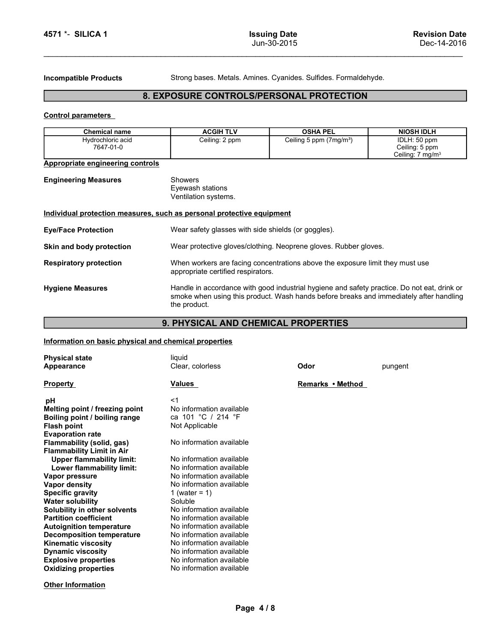1571 \*- SILICA 1 Issuing Date<br>
Jun-30-2015<br>
Incompatible Products Strong bases. Metals. Amines. Cyanides. Sulfides. Formaldehyde.

# EXECT 1 SILICA 1<br>
Incompatible Products<br>
Strong bases. Metals. Amines. Cyanides. Sulfides. Formaldehyde.<br>
Strong bases. Metals. Amines. Cyanides. Sulfides. Formaldehyde.<br>
Strong bases. Metals. Amines. Cyanides. Sulfides. F 8. EXPOSURE CONTROLS/PERSONAL PROTECTION

| 4571 *- SILICA 1                                                      |                                                                  | <b>Issuing Date</b><br>Jun-30-2015                              | <b>Revision Date</b><br>Dec-14-2016                            |  |
|-----------------------------------------------------------------------|------------------------------------------------------------------|-----------------------------------------------------------------|----------------------------------------------------------------|--|
|                                                                       |                                                                  |                                                                 |                                                                |  |
|                                                                       |                                                                  |                                                                 |                                                                |  |
| <b>Incompatible Products</b>                                          |                                                                  | Strong bases. Metals. Amines. Cyanides. Sulfides. Formaldehyde. |                                                                |  |
|                                                                       | 8. EXPOSURE CONTROLS/PERSONAL PROTECTION                         |                                                                 |                                                                |  |
| <b>Control parameters</b>                                             |                                                                  |                                                                 |                                                                |  |
| <b>Chemical name</b>                                                  | <b>ACGIH TLV</b>                                                 | <b>OSHA PEL</b>                                                 | <b>NIOSH IDLH</b>                                              |  |
| Hydrochloric acid<br>7647-01-0                                        | Ceiling: 2 ppm                                                   | Ceiling 5 ppm (7mg/m <sup>3</sup> )                             | IDLH: 50 ppm<br>Ceiling: 5 ppm<br>Ceiling: 7 mg/m <sup>3</sup> |  |
| Appropriate engineering controls                                      |                                                                  |                                                                 |                                                                |  |
| <b>Engineering Measures</b>                                           | <b>Showers</b><br>Eyewash stations<br>Ventilation systems.       |                                                                 |                                                                |  |
| Individual protection measures, such as personal protective equipment |                                                                  |                                                                 |                                                                |  |
| <b>Eye/Face Protection</b>                                            | Wear safety glasses with side shields (or goggles).              |                                                                 |                                                                |  |
| Skin and body protection                                              | Wear protective gloves/clothing. Neoprene gloves. Rubber gloves. |                                                                 |                                                                |  |

| <b>Engineering Measures</b> | Showers             |
|-----------------------------|---------------------|
|                             | Eyewash stations    |
|                             | Ventilation systems |

| 4571 *- SILICA 1                                                      |                                                                                                                     | <b>Issuing Date</b><br>Jun-30-2015                                                                                                                                                    | <b>Revision Date</b><br>Dec-14-2016                            |
|-----------------------------------------------------------------------|---------------------------------------------------------------------------------------------------------------------|---------------------------------------------------------------------------------------------------------------------------------------------------------------------------------------|----------------------------------------------------------------|
| <b>Incompatible Products</b>                                          |                                                                                                                     | Strong bases. Metals. Amines. Cyanides. Sulfides. Formaldehyde.                                                                                                                       |                                                                |
|                                                                       | 8. EXPOSURE CONTROLS/PERSONAL PROTECTION                                                                            |                                                                                                                                                                                       |                                                                |
| <b>Control parameters</b>                                             |                                                                                                                     |                                                                                                                                                                                       |                                                                |
| <b>Chemical name</b>                                                  | <b>ACGIH TLV</b>                                                                                                    | <b>OSHA PEL</b>                                                                                                                                                                       | <b>NIOSH IDLH</b>                                              |
| Hydrochloric acid<br>7647-01-0                                        | Ceiling: 2 ppm                                                                                                      | Ceiling 5 ppm (7mg/m <sup>3</sup> )                                                                                                                                                   | IDLH: 50 ppm<br>Ceiling: 5 ppm<br>Ceiling: 7 mg/m <sup>3</sup> |
| Appropriate engineering controls                                      |                                                                                                                     |                                                                                                                                                                                       |                                                                |
| <b>Engineering Measures</b>                                           | <b>Showers</b><br>Eyewash stations<br>Ventilation systems.                                                          |                                                                                                                                                                                       |                                                                |
| Individual protection measures, such as personal protective equipment |                                                                                                                     |                                                                                                                                                                                       |                                                                |
| <b>Eye/Face Protection</b>                                            | Wear safety glasses with side shields (or goggles).                                                                 |                                                                                                                                                                                       |                                                                |
| Skin and body protection                                              | Wear protective gloves/clothing. Neoprene gloves. Rubber gloves.                                                    |                                                                                                                                                                                       |                                                                |
| <b>Respiratory protection</b>                                         | When workers are facing concentrations above the exposure limit they must use<br>appropriate certified respirators. |                                                                                                                                                                                       |                                                                |
| <b>Hygiene Measures</b>                                               | the product.                                                                                                        | Handle in accordance with good industrial hygiene and safety practice. Do not eat, drink or<br>smoke when using this product. Wash hands before breaks and immediately after handling |                                                                |
|                                                                       | 9. PHYSICAL AND CHEMICAL PROPERTIES                                                                                 |                                                                                                                                                                                       |                                                                |
| Information on basic physical and chemical properties                 |                                                                                                                     |                                                                                                                                                                                       |                                                                |
| <b>Physical state</b>                                                 | liquid                                                                                                              |                                                                                                                                                                                       |                                                                |
| Appearance                                                            | Clear, colorless                                                                                                    | Odor                                                                                                                                                                                  | pungent                                                        |
| <b>Property</b>                                                       | Values                                                                                                              |                                                                                                                                                                                       |                                                                |
| рH<br>Melting point / freezing point                                  | <1<br>No information available                                                                                      |                                                                                                                                                                                       |                                                                |
| Roiling noint / hoiling range                                         | $ca$ 101 °C / 214 °F                                                                                                |                                                                                                                                                                                       |                                                                |

# 9. PHYSICAL AND CHEMICAL PROPERTIES

| Individual protection measures, such as personal protective equipment<br>Wear safety glasses with side shields (or goggles).<br>Wear protective gloves/clothing. Neoprene gloves. Rubber gloves.<br>When workers are facing concentrations above the exposure limit they must use<br>appropriate certified respirators.<br>Handle in accordance with good industrial hygiene and safety practice. Do not eat, drink or<br>smoke when using this product. Wash hands before breaks and immediately after handling<br>the product.<br>9. PHYSICAL AND CHEMICAL PROPERTIES<br>Information on basic physical and chemical properties<br>liquid<br>Clear, colorless<br>Values<br>$<$ 1<br>No information available<br>ca 101 °C / 214 °F<br>Not Applicable<br>No information available | Odor<br>Remarks • Method                                                                                                                                             | pungent |          |
|-----------------------------------------------------------------------------------------------------------------------------------------------------------------------------------------------------------------------------------------------------------------------------------------------------------------------------------------------------------------------------------------------------------------------------------------------------------------------------------------------------------------------------------------------------------------------------------------------------------------------------------------------------------------------------------------------------------------------------------------------------------------------------------|----------------------------------------------------------------------------------------------------------------------------------------------------------------------|---------|----------|
|                                                                                                                                                                                                                                                                                                                                                                                                                                                                                                                                                                                                                                                                                                                                                                                   |                                                                                                                                                                      |         |          |
|                                                                                                                                                                                                                                                                                                                                                                                                                                                                                                                                                                                                                                                                                                                                                                                   |                                                                                                                                                                      |         |          |
|                                                                                                                                                                                                                                                                                                                                                                                                                                                                                                                                                                                                                                                                                                                                                                                   |                                                                                                                                                                      |         |          |
|                                                                                                                                                                                                                                                                                                                                                                                                                                                                                                                                                                                                                                                                                                                                                                                   |                                                                                                                                                                      |         |          |
|                                                                                                                                                                                                                                                                                                                                                                                                                                                                                                                                                                                                                                                                                                                                                                                   |                                                                                                                                                                      |         |          |
|                                                                                                                                                                                                                                                                                                                                                                                                                                                                                                                                                                                                                                                                                                                                                                                   |                                                                                                                                                                      |         |          |
|                                                                                                                                                                                                                                                                                                                                                                                                                                                                                                                                                                                                                                                                                                                                                                                   |                                                                                                                                                                      |         |          |
|                                                                                                                                                                                                                                                                                                                                                                                                                                                                                                                                                                                                                                                                                                                                                                                   |                                                                                                                                                                      |         |          |
|                                                                                                                                                                                                                                                                                                                                                                                                                                                                                                                                                                                                                                                                                                                                                                                   |                                                                                                                                                                      |         |          |
|                                                                                                                                                                                                                                                                                                                                                                                                                                                                                                                                                                                                                                                                                                                                                                                   |                                                                                                                                                                      |         |          |
|                                                                                                                                                                                                                                                                                                                                                                                                                                                                                                                                                                                                                                                                                                                                                                                   |                                                                                                                                                                      |         |          |
|                                                                                                                                                                                                                                                                                                                                                                                                                                                                                                                                                                                                                                                                                                                                                                                   |                                                                                                                                                                      |         |          |
|                                                                                                                                                                                                                                                                                                                                                                                                                                                                                                                                                                                                                                                                                                                                                                                   |                                                                                                                                                                      |         |          |
|                                                                                                                                                                                                                                                                                                                                                                                                                                                                                                                                                                                                                                                                                                                                                                                   |                                                                                                                                                                      |         |          |
|                                                                                                                                                                                                                                                                                                                                                                                                                                                                                                                                                                                                                                                                                                                                                                                   |                                                                                                                                                                      |         |          |
|                                                                                                                                                                                                                                                                                                                                                                                                                                                                                                                                                                                                                                                                                                                                                                                   |                                                                                                                                                                      |         |          |
|                                                                                                                                                                                                                                                                                                                                                                                                                                                                                                                                                                                                                                                                                                                                                                                   |                                                                                                                                                                      |         |          |
| No information available                                                                                                                                                                                                                                                                                                                                                                                                                                                                                                                                                                                                                                                                                                                                                          |                                                                                                                                                                      |         |          |
| No information available                                                                                                                                                                                                                                                                                                                                                                                                                                                                                                                                                                                                                                                                                                                                                          |                                                                                                                                                                      |         |          |
| No information available<br>No information available                                                                                                                                                                                                                                                                                                                                                                                                                                                                                                                                                                                                                                                                                                                              |                                                                                                                                                                      |         |          |
|                                                                                                                                                                                                                                                                                                                                                                                                                                                                                                                                                                                                                                                                                                                                                                                   |                                                                                                                                                                      |         |          |
| 1 (water = $1$ )<br>Soluble                                                                                                                                                                                                                                                                                                                                                                                                                                                                                                                                                                                                                                                                                                                                                       |                                                                                                                                                                      |         |          |
| No information available                                                                                                                                                                                                                                                                                                                                                                                                                                                                                                                                                                                                                                                                                                                                                          |                                                                                                                                                                      |         |          |
| No information available                                                                                                                                                                                                                                                                                                                                                                                                                                                                                                                                                                                                                                                                                                                                                          |                                                                                                                                                                      |         |          |
|                                                                                                                                                                                                                                                                                                                                                                                                                                                                                                                                                                                                                                                                                                                                                                                   |                                                                                                                                                                      |         |          |
|                                                                                                                                                                                                                                                                                                                                                                                                                                                                                                                                                                                                                                                                                                                                                                                   |                                                                                                                                                                      |         |          |
|                                                                                                                                                                                                                                                                                                                                                                                                                                                                                                                                                                                                                                                                                                                                                                                   |                                                                                                                                                                      |         |          |
|                                                                                                                                                                                                                                                                                                                                                                                                                                                                                                                                                                                                                                                                                                                                                                                   |                                                                                                                                                                      |         |          |
|                                                                                                                                                                                                                                                                                                                                                                                                                                                                                                                                                                                                                                                                                                                                                                                   |                                                                                                                                                                      |         |          |
|                                                                                                                                                                                                                                                                                                                                                                                                                                                                                                                                                                                                                                                                                                                                                                                   |                                                                                                                                                                      |         |          |
|                                                                                                                                                                                                                                                                                                                                                                                                                                                                                                                                                                                                                                                                                                                                                                                   |                                                                                                                                                                      |         |          |
|                                                                                                                                                                                                                                                                                                                                                                                                                                                                                                                                                                                                                                                                                                                                                                                   |                                                                                                                                                                      |         |          |
|                                                                                                                                                                                                                                                                                                                                                                                                                                                                                                                                                                                                                                                                                                                                                                                   | No information available<br>No information available<br>No information available<br>No information available<br>No information available<br>No information available |         | Page 4/8 |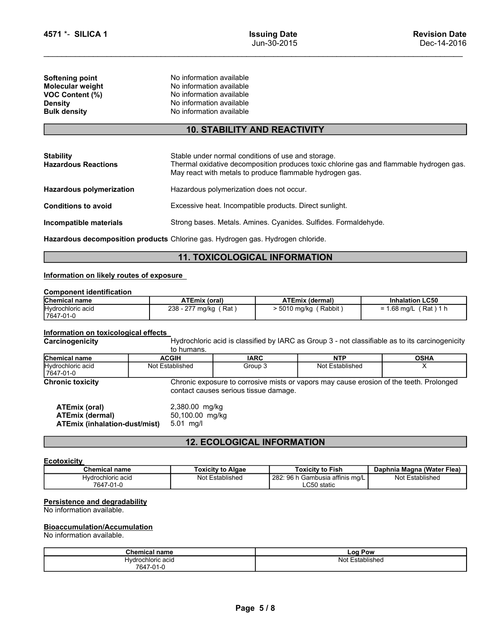| 4571 *- SILICA 1       | <b>Issuing Date</b>                                                                    | <b>Revision Date</b> |  |  |
|------------------------|----------------------------------------------------------------------------------------|----------------------|--|--|
|                        | Jun-30-2015                                                                            | Dec-14-2016          |  |  |
| <b>Softening point</b> | No information available                                                               |                      |  |  |
| Molecular weight       | No information available                                                               |                      |  |  |
| VOC Content (%)        | No information available                                                               |                      |  |  |
| <b>Density</b>         | No information available<br>No information available                                   |                      |  |  |
| <b>Bulk density</b>    |                                                                                        |                      |  |  |
|                        | <b>10. STABILITY AND REACTIVITY</b>                                                    |                      |  |  |
| <b>Stability</b>       | Stable under normal conditions of use and storage.                                     |                      |  |  |
|                        | Thermal ovidative decempeoition produces toxic oblaring goe and flammable budrogen goe |                      |  |  |

# 10. STABILITY AND REACTIVITY

| <b>Issuing Date</b><br><b>Revision Date</b><br>Jun-30-2015<br>Dec-14-2016<br>No information available<br>No information available<br>No information available<br>No information available<br>No information available<br><b>10. STABILITY AND REACTIVITY</b><br>Stable under normal conditions of use and storage.<br>Thermal oxidative decomposition produces toxic chlorine gas and flammable hydrogen gas.<br>May react with metals to produce flammable hydrogen gas.<br>Hazardous polymerization does not occur.<br>Excessive heat. Incompatible products. Direct sunlight.<br>Strong bases. Metals. Amines. Cyanides. Sulfides. Formaldehyde.<br>Hazardous decomposition products Chlorine gas. Hydrogen gas. Hydrogen chloride.<br><b>11. TOXICOLOGICAL INFORMATION</b><br>Information on likely routes of exposure<br><b>Inhalation LC50</b><br><b>ATEmix (oral)</b><br><b>ATEmix (dermal)</b><br>$> 5010$ mg/kg (Rabbit)<br>238 - 277 mg/kg (Rat)<br>Hydrochloric acid<br>$= 1.68$ mg/L (Rat) 1 h<br>Information on toxicological effects<br>Hydrochloric acid is classified by IARC as Group 3 - not classifiable as to its carcinogenicity<br>to humans.<br><b>NTP</b><br><b>ACGIH</b><br><b>IARC</b><br><b>OSHA</b><br>Group 3<br>Not Established<br>Not Established<br>X<br>7647-01-0<br>Chronic exposure to corrosive mists or vapors may cause erosion of the teeth. Prolonged<br>contact causes serious tissue damage.<br>2,380.00 mg/kg<br><b>ATEmix (oral)</b><br><b>ATEmix (dermal)</b><br>50,100.00 mg/kg<br><b>ATEmix (inhalation-dust/mist)</b><br>5.01 mg/l<br><b>12. ECOLOGICAL INFORMATION</b><br><b>Ecotoxicity</b><br><b>Chemical name</b><br><b>Toxicity to Algae</b><br><b>Toxicity to Fish</b><br>Daphnia Magna (Water Flea) |                                                                                                        |  |  |  |  |  |  |  |
|------------------------------------------------------------------------------------------------------------------------------------------------------------------------------------------------------------------------------------------------------------------------------------------------------------------------------------------------------------------------------------------------------------------------------------------------------------------------------------------------------------------------------------------------------------------------------------------------------------------------------------------------------------------------------------------------------------------------------------------------------------------------------------------------------------------------------------------------------------------------------------------------------------------------------------------------------------------------------------------------------------------------------------------------------------------------------------------------------------------------------------------------------------------------------------------------------------------------------------------------------------------------------------------------------------------------------------------------------------------------------------------------------------------------------------------------------------------------------------------------------------------------------------------------------------------------------------------------------------------------------------------------------------------------------------------------------------------------------------------------------------|--------------------------------------------------------------------------------------------------------|--|--|--|--|--|--|--|
|                                                                                                                                                                                                                                                                                                                                                                                                                                                                                                                                                                                                                                                                                                                                                                                                                                                                                                                                                                                                                                                                                                                                                                                                                                                                                                                                                                                                                                                                                                                                                                                                                                                                                                                                                            |                                                                                                        |  |  |  |  |  |  |  |
|                                                                                                                                                                                                                                                                                                                                                                                                                                                                                                                                                                                                                                                                                                                                                                                                                                                                                                                                                                                                                                                                                                                                                                                                                                                                                                                                                                                                                                                                                                                                                                                                                                                                                                                                                            | 4571 *- SILICA 1                                                                                       |  |  |  |  |  |  |  |
|                                                                                                                                                                                                                                                                                                                                                                                                                                                                                                                                                                                                                                                                                                                                                                                                                                                                                                                                                                                                                                                                                                                                                                                                                                                                                                                                                                                                                                                                                                                                                                                                                                                                                                                                                            | Softening point<br>Molecular weight<br><b>VOC Content (%)</b><br><b>Density</b><br><b>Bulk density</b> |  |  |  |  |  |  |  |
|                                                                                                                                                                                                                                                                                                                                                                                                                                                                                                                                                                                                                                                                                                                                                                                                                                                                                                                                                                                                                                                                                                                                                                                                                                                                                                                                                                                                                                                                                                                                                                                                                                                                                                                                                            |                                                                                                        |  |  |  |  |  |  |  |
|                                                                                                                                                                                                                                                                                                                                                                                                                                                                                                                                                                                                                                                                                                                                                                                                                                                                                                                                                                                                                                                                                                                                                                                                                                                                                                                                                                                                                                                                                                                                                                                                                                                                                                                                                            | <b>Stability</b><br><b>Hazardous Reactions</b>                                                         |  |  |  |  |  |  |  |
|                                                                                                                                                                                                                                                                                                                                                                                                                                                                                                                                                                                                                                                                                                                                                                                                                                                                                                                                                                                                                                                                                                                                                                                                                                                                                                                                                                                                                                                                                                                                                                                                                                                                                                                                                            | <b>Hazardous polymerization</b>                                                                        |  |  |  |  |  |  |  |
|                                                                                                                                                                                                                                                                                                                                                                                                                                                                                                                                                                                                                                                                                                                                                                                                                                                                                                                                                                                                                                                                                                                                                                                                                                                                                                                                                                                                                                                                                                                                                                                                                                                                                                                                                            | <b>Conditions to avoid</b>                                                                             |  |  |  |  |  |  |  |
|                                                                                                                                                                                                                                                                                                                                                                                                                                                                                                                                                                                                                                                                                                                                                                                                                                                                                                                                                                                                                                                                                                                                                                                                                                                                                                                                                                                                                                                                                                                                                                                                                                                                                                                                                            | Incompatible materials                                                                                 |  |  |  |  |  |  |  |
|                                                                                                                                                                                                                                                                                                                                                                                                                                                                                                                                                                                                                                                                                                                                                                                                                                                                                                                                                                                                                                                                                                                                                                                                                                                                                                                                                                                                                                                                                                                                                                                                                                                                                                                                                            |                                                                                                        |  |  |  |  |  |  |  |
|                                                                                                                                                                                                                                                                                                                                                                                                                                                                                                                                                                                                                                                                                                                                                                                                                                                                                                                                                                                                                                                                                                                                                                                                                                                                                                                                                                                                                                                                                                                                                                                                                                                                                                                                                            |                                                                                                        |  |  |  |  |  |  |  |
|                                                                                                                                                                                                                                                                                                                                                                                                                                                                                                                                                                                                                                                                                                                                                                                                                                                                                                                                                                                                                                                                                                                                                                                                                                                                                                                                                                                                                                                                                                                                                                                                                                                                                                                                                            |                                                                                                        |  |  |  |  |  |  |  |
|                                                                                                                                                                                                                                                                                                                                                                                                                                                                                                                                                                                                                                                                                                                                                                                                                                                                                                                                                                                                                                                                                                                                                                                                                                                                                                                                                                                                                                                                                                                                                                                                                                                                                                                                                            | <b>Component identification</b>                                                                        |  |  |  |  |  |  |  |
|                                                                                                                                                                                                                                                                                                                                                                                                                                                                                                                                                                                                                                                                                                                                                                                                                                                                                                                                                                                                                                                                                                                                                                                                                                                                                                                                                                                                                                                                                                                                                                                                                                                                                                                                                            | <b>Chemical name</b>                                                                                   |  |  |  |  |  |  |  |
|                                                                                                                                                                                                                                                                                                                                                                                                                                                                                                                                                                                                                                                                                                                                                                                                                                                                                                                                                                                                                                                                                                                                                                                                                                                                                                                                                                                                                                                                                                                                                                                                                                                                                                                                                            | 7647-01-0                                                                                              |  |  |  |  |  |  |  |
|                                                                                                                                                                                                                                                                                                                                                                                                                                                                                                                                                                                                                                                                                                                                                                                                                                                                                                                                                                                                                                                                                                                                                                                                                                                                                                                                                                                                                                                                                                                                                                                                                                                                                                                                                            |                                                                                                        |  |  |  |  |  |  |  |
|                                                                                                                                                                                                                                                                                                                                                                                                                                                                                                                                                                                                                                                                                                                                                                                                                                                                                                                                                                                                                                                                                                                                                                                                                                                                                                                                                                                                                                                                                                                                                                                                                                                                                                                                                            | Carcinogenicity                                                                                        |  |  |  |  |  |  |  |
|                                                                                                                                                                                                                                                                                                                                                                                                                                                                                                                                                                                                                                                                                                                                                                                                                                                                                                                                                                                                                                                                                                                                                                                                                                                                                                                                                                                                                                                                                                                                                                                                                                                                                                                                                            | Chemical name                                                                                          |  |  |  |  |  |  |  |
|                                                                                                                                                                                                                                                                                                                                                                                                                                                                                                                                                                                                                                                                                                                                                                                                                                                                                                                                                                                                                                                                                                                                                                                                                                                                                                                                                                                                                                                                                                                                                                                                                                                                                                                                                            | Hydrochloric acid                                                                                      |  |  |  |  |  |  |  |
|                                                                                                                                                                                                                                                                                                                                                                                                                                                                                                                                                                                                                                                                                                                                                                                                                                                                                                                                                                                                                                                                                                                                                                                                                                                                                                                                                                                                                                                                                                                                                                                                                                                                                                                                                            | <b>Chronic toxicity</b>                                                                                |  |  |  |  |  |  |  |
|                                                                                                                                                                                                                                                                                                                                                                                                                                                                                                                                                                                                                                                                                                                                                                                                                                                                                                                                                                                                                                                                                                                                                                                                                                                                                                                                                                                                                                                                                                                                                                                                                                                                                                                                                            |                                                                                                        |  |  |  |  |  |  |  |
|                                                                                                                                                                                                                                                                                                                                                                                                                                                                                                                                                                                                                                                                                                                                                                                                                                                                                                                                                                                                                                                                                                                                                                                                                                                                                                                                                                                                                                                                                                                                                                                                                                                                                                                                                            |                                                                                                        |  |  |  |  |  |  |  |
|                                                                                                                                                                                                                                                                                                                                                                                                                                                                                                                                                                                                                                                                                                                                                                                                                                                                                                                                                                                                                                                                                                                                                                                                                                                                                                                                                                                                                                                                                                                                                                                                                                                                                                                                                            |                                                                                                        |  |  |  |  |  |  |  |
|                                                                                                                                                                                                                                                                                                                                                                                                                                                                                                                                                                                                                                                                                                                                                                                                                                                                                                                                                                                                                                                                                                                                                                                                                                                                                                                                                                                                                                                                                                                                                                                                                                                                                                                                                            |                                                                                                        |  |  |  |  |  |  |  |

# 11. TOXICOLOGICAL INFORMATION

| <b>Chemical name</b> | <b>ATEmix (oral)</b>                  | <b>ATEmix (dermal)</b> | <b>Inhalation LC50</b>               |
|----------------------|---------------------------------------|------------------------|--------------------------------------|
| Hydrochloric acid    | 238 -<br>077<br>Rat<br>mg/kg<br>ا ے ا | 5010 mg/kg<br>Rabbit   | 1 h<br>Rat )<br>l .68 mg/L<br>-<br>- |
| 7647-01-0            |                                       |                        |                                      |

|                                                                                        |                                           |                                                  |                                       | TT. TOXICOLOGICAL INFORMATION                  |                                                                                                 |  |
|----------------------------------------------------------------------------------------|-------------------------------------------|--------------------------------------------------|---------------------------------------|------------------------------------------------|-------------------------------------------------------------------------------------------------|--|
| Information on likely routes of exposure                                               |                                           |                                                  |                                       |                                                |                                                                                                 |  |
| <b>Component identification</b>                                                        |                                           |                                                  |                                       |                                                |                                                                                                 |  |
| Chemical name                                                                          |                                           | <b>ATEmix (oral)</b>                             |                                       | <b>ATEmix (dermal)</b>                         | <b>Inhalation LC50</b>                                                                          |  |
| <b>Hydrochloric</b> acid<br>7647-01-0                                                  |                                           | 238 - 277 mg/kg (Rat)                            |                                       | > 5010 mg/kg (Rabbit)                          | $= 1.68$ mg/L (Rat) 1 h                                                                         |  |
| Information on toxicological effects                                                   |                                           |                                                  |                                       |                                                |                                                                                                 |  |
| Carcinogenicity                                                                        |                                           | to humans.                                       |                                       |                                                | Hydrochloric acid is classified by IARC as Group 3 - not classifiable as to its carcinogenicity |  |
| <b>Chemical name</b>                                                                   | <b>ACGIH</b>                              |                                                  | <b>IARC</b>                           | <b>NTP</b>                                     | <b>OSHA</b>                                                                                     |  |
| Hydrochloric acid<br>7647-01-0                                                         | Not Established                           |                                                  | Group 3                               | Not Established                                | $\times$                                                                                        |  |
| <b>Chronic toxicity</b>                                                                |                                           |                                                  | contact causes serious tissue damage. |                                                | Chronic exposure to corrosive mists or vapors may cause erosion of the teeth. Prolonged         |  |
| <b>ATEmix (oral)</b><br><b>ATEmix (dermal)</b><br><b>ATEmix (inhalation-dust/mist)</b> |                                           | 2,380.00 mg/kg<br>50,100.00 mg/kg<br>$5.01$ mg/l |                                       |                                                |                                                                                                 |  |
|                                                                                        |                                           |                                                  | <b>12. ECOLOGICAL INFORMATION</b>     |                                                |                                                                                                 |  |
| <b>Ecotoxicity</b>                                                                     |                                           |                                                  |                                       |                                                |                                                                                                 |  |
| <b>Chemical name</b>                                                                   |                                           |                                                  | <b>Toxicity to Algae</b>              | <b>Toxicity to Fish</b>                        | Daphnia Magna (Water Flea)                                                                      |  |
| Hydrochloric acid<br>7647-01-0                                                         |                                           |                                                  | Not Established                       | 282: 96 h Gambusia affinis mg/L<br>LC50 static | Not Established                                                                                 |  |
| Persistence and degradability<br>No information available.                             |                                           |                                                  |                                       |                                                |                                                                                                 |  |
| <b>Bioaccumulation/Accumulation</b><br>No information available.                       |                                           |                                                  |                                       |                                                |                                                                                                 |  |
|                                                                                        |                                           |                                                  |                                       | Log Pow                                        |                                                                                                 |  |
|                                                                                        | <b>Chemical name</b><br>Hydrochloric acid |                                                  |                                       | Not Established                                |                                                                                                 |  |

| ATEmix (oral)                 | 2,380.00 mg/kg  |
|-------------------------------|-----------------|
| ATEmix (dermal)               | 50,100.00 mg/kg |
| ATEmix (inhalation-dust/mist) | $5.01$ ma/l     |

# 12. ECOLOGICAL INFORMATION

# **Ecotoxicity**

| <b>ATEmix (oral)</b><br><b>ATEmix (dermal)</b><br><b>ATEmix (inhalation-dust/mist)</b>                                                | 2,380.00 mg/kg<br>50,100.00 mg/kg<br>5.01 mg/l |                                                |                            |
|---------------------------------------------------------------------------------------------------------------------------------------|------------------------------------------------|------------------------------------------------|----------------------------|
|                                                                                                                                       | <b>12. ECOLOGICAL INFORMATION</b>              |                                                |                            |
| <b>Ecotoxicity</b>                                                                                                                    |                                                |                                                |                            |
| <b>Chemical name</b>                                                                                                                  | <b>Toxicity to Algae</b>                       | <b>Toxicity to Fish</b>                        | Daphnia Magna (Water Flea) |
| Hydrochloric acid<br>7647-01-0                                                                                                        | Not Established                                | 282: 96 h Gambusia affinis mg/L<br>LC50 static | Not Established            |
| <b>Persistence and degradability</b><br>No information available.<br><b>Bioaccumulation/Accumulation</b><br>No information available. |                                                |                                                |                            |
| <b>Chemical name</b>                                                                                                                  |                                                | Log Pow                                        |                            |
| Hydrochloric acid<br>7647-01-0                                                                                                        |                                                | Not Established                                |                            |
|                                                                                                                                       | Page 5/8                                       |                                                |                            |

# **Bioaccumulation/Accumulation**<br>No information available.

| Chemical<br>' name | <b>Log Pow</b>                           |  |
|--------------------|------------------------------------------|--|
| Hvdrochloric acid  | NIO <sup>t</sup><br>lished<br>.ntah<br>w |  |
| 7647-01-L          |                                          |  |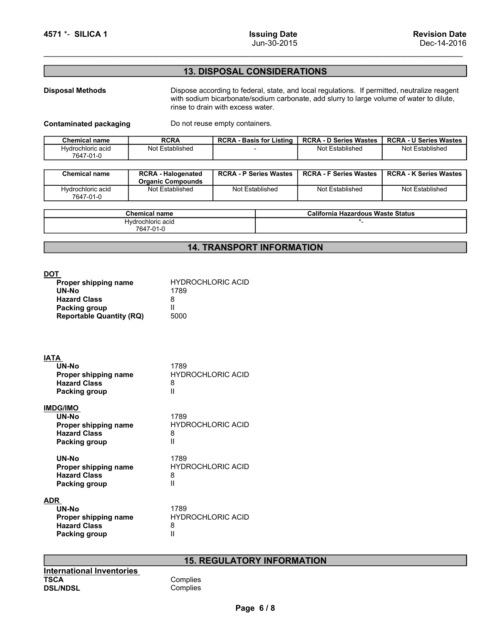# 4571 \*- SILICA 1 lssuing Date<br>
Jun-30-2015<br>
13. DISPOSAL CONSIDERATIONS 13. DISPOSAL CONSIDERATIONS

**EXECUTE AND SERVISION DREE ACTS AND SERVISION DREE ACTS AND SERVISION DREE ACTS AND SERVISION DREE ACTS AND SERVISION DREAD TO SURFOSAL CONSIDERATIONS<br>
Disposal Methods Dispose according to federal, state, and local regul Example 13. DISPOSAL CONSIDERATIONS**<br>
Use -14-2016<br>
13. DISPOSAL CONSIDERATIONS<br>
Dispose according to federal, state, and local regulations. If permitted, neutralize reagent<br>
with sodium bicarbonate/sodium carbonate, add **ring Date**<br>
Jun-30-2015<br>
Dec-14-2016<br> **13. DISPOSAL CONSIDERATIONS**<br>
Dispose according to federal, state, and local regulations. If permitted, neutralize reagent<br>
with social multiplaces water.<br>
Do not reuse empty contain

| 4571 *- SILICA 1               |                 | <b>Issuing Date</b><br>Jun-30-2015                                                                                            |                               | <b>Revision Date</b><br>Dec-14-2016 |
|--------------------------------|-----------------|-------------------------------------------------------------------------------------------------------------------------------|-------------------------------|-------------------------------------|
|                                |                 |                                                                                                                               |                               |                                     |
|                                |                 | <b>13. DISPOSAL CONSIDERATIONS</b>                                                                                            |                               |                                     |
| <b>Disposal Methods</b>        |                 | Dispose according to federal, state, and local regulations. If permitted, neutralize reagent                                  |                               |                                     |
|                                |                 | with sodium bicarbonate/sodium carbonate, add slurry to large volume of water to dilute,<br>rinse to drain with excess water. |                               |                                     |
| <b>Contaminated packaging</b>  |                 | Do not reuse empty containers.                                                                                                |                               |                                     |
|                                |                 | <b>RCRA - Basis for Listing</b>                                                                                               | <b>RCRA - D Series Wastes</b> | <b>RCRA - U Series Wastes</b>       |
| <b>Chemical name</b>           | <b>RCRA</b>     |                                                                                                                               |                               |                                     |
| Hydrochloric acid<br>7647-01-0 | Not Established |                                                                                                                               | Not Established               | Not Established                     |

| 4571 *- SILICA 1                                       |                                                        | <b>Issuing Date</b><br>Jun-30-2015                                                                                                                                                                                            |                                                     | <b>Revision Date</b><br>Dec-14-2016              |
|--------------------------------------------------------|--------------------------------------------------------|-------------------------------------------------------------------------------------------------------------------------------------------------------------------------------------------------------------------------------|-----------------------------------------------------|--------------------------------------------------|
|                                                        |                                                        | <b>13. DISPOSAL CONSIDERATIONS</b>                                                                                                                                                                                            |                                                     |                                                  |
| <b>Disposal Methods</b>                                |                                                        | Dispose according to federal, state, and local regulations. If permitted, neutralize reagent<br>with sodium bicarbonate/sodium carbonate, add slurry to large volume of water to dilute,<br>rinse to drain with excess water. |                                                     |                                                  |
| <b>Contaminated packaging</b>                          |                                                        | Do not reuse empty containers.                                                                                                                                                                                                |                                                     |                                                  |
|                                                        |                                                        |                                                                                                                                                                                                                               |                                                     |                                                  |
| <b>Chemical name</b><br>Hydrochloric acid<br>7647-01-0 | <b>RCRA</b><br>Not Established                         | <b>RCRA - Basis for Listing</b>                                                                                                                                                                                               | <b>RCRA - D Series Wastes</b><br>Not Established    | <b>RCRA - U Series Wastes</b><br>Not Established |
| <b>Chemical name</b>                                   | <b>RCRA - Halogenated</b>                              | <b>RCRA - P Series Wastes</b>                                                                                                                                                                                                 | <b>RCRA - F Series Wastes</b>                       | <b>RCRA - K Series Wastes</b>                    |
| Hydrochloric acid<br>7647-01-0                         | <b>Organic Compounds</b><br>Not Established            | Not Established                                                                                                                                                                                                               | Not Established                                     | Not Established                                  |
|                                                        |                                                        |                                                                                                                                                                                                                               |                                                     |                                                  |
|                                                        | <b>Chemical name</b><br>Hydrochloric acid<br>7647-01-0 |                                                                                                                                                                                                                               | <b>California Hazardous Waste Status</b><br>$\star$ |                                                  |

| <b>Chemical name</b>           | California<br><b>Hazardous Waste Status</b> |
|--------------------------------|---------------------------------------------|
| Hvdrochloric acid<br>7647-01-0 |                                             |

# 14. TRANSPORT INFORMATION

| <b>Disposal Methods</b><br>Dispose according to federal, state, and local regulations. If permitted, neutralize reagent<br>with sodium bicarbonate/sodium carbonate, add slurry to large volume of water to dilute,<br>rinse to drain with excess water.<br>Do not reuse empty containers.<br><b>Chemical name</b><br><b>RCRA</b><br><b>RCRA - Basis for Listing</b><br><b>RCRA - D Series Wastes</b><br>Hydrochloric acid<br>Not Established<br>Not Established<br>Not Established<br>7647-01-0<br><b>Chemical name</b><br><b>RCRA - Halogenated</b><br><b>RCRA - P Series Wastes</b><br><b>RCRA - F Series Wastes</b><br><b>Organic Compounds</b><br>Hydrochloric acid<br>Not Established<br>Not Established<br>Not Established<br>Not Established<br>7647-01-0<br><b>California Hazardous Waste Status</b><br><b>Chemical name</b><br>Hydrochloric acid<br>$^{\star}$ .<br>7647-01-0<br><b>14. TRANSPORT INFORMATION</b><br>Proper shipping name<br><b>HYDROCHLORIC ACID</b><br>UN-No<br>1789<br><b>Hazard Class</b><br>8<br>Ш<br>Packing group<br>5000<br><b>Reportable Quantity (RQ)</b><br><b>UN-No</b><br>1789<br>Proper shipping name<br><b>HYDROCHLORIC ACID</b><br><b>Hazard Class</b><br>8<br>Ш<br>Packing group<br>UN-No<br>1789<br><b>HYDROCHLORIC ACID</b><br>Proper shipping name<br><b>Hazard Class</b><br>8<br>Ш<br>Packing group<br>1789<br>UN-No<br><b>HYDROCHLORIC ACID</b><br>Proper shipping name<br><b>Hazard Class</b><br>8<br>Ш<br><b>Packing group</b><br>1789<br>UN-No<br><b>HYDROCHLORIC ACID</b><br>Proper shipping name<br><b>Hazard Class</b><br>8<br><b>Packing group</b><br>Ш<br><b>15. REGULATORY INFORMATION</b><br>Complies<br>Complies<br>Page 6/8 |                               | <u> 13. DISPOSAL CONSIDERATIONS</u> |  |                               |
|-----------------------------------------------------------------------------------------------------------------------------------------------------------------------------------------------------------------------------------------------------------------------------------------------------------------------------------------------------------------------------------------------------------------------------------------------------------------------------------------------------------------------------------------------------------------------------------------------------------------------------------------------------------------------------------------------------------------------------------------------------------------------------------------------------------------------------------------------------------------------------------------------------------------------------------------------------------------------------------------------------------------------------------------------------------------------------------------------------------------------------------------------------------------------------------------------------------------------------------------------------------------------------------------------------------------------------------------------------------------------------------------------------------------------------------------------------------------------------------------------------------------------------------------------------------------------------------------------------------------------------------------------------------------------------------------|-------------------------------|-------------------------------------|--|-------------------------------|
|                                                                                                                                                                                                                                                                                                                                                                                                                                                                                                                                                                                                                                                                                                                                                                                                                                                                                                                                                                                                                                                                                                                                                                                                                                                                                                                                                                                                                                                                                                                                                                                                                                                                                         |                               |                                     |  |                               |
| <b>DOT</b><br><b>IATA</b><br><b>IMDG/IMO</b><br><b>ADR</b><br><b>International Inventories</b><br><b>TSCA</b><br><b>DSL/NDSL</b>                                                                                                                                                                                                                                                                                                                                                                                                                                                                                                                                                                                                                                                                                                                                                                                                                                                                                                                                                                                                                                                                                                                                                                                                                                                                                                                                                                                                                                                                                                                                                        | <b>Contaminated packaging</b> |                                     |  |                               |
|                                                                                                                                                                                                                                                                                                                                                                                                                                                                                                                                                                                                                                                                                                                                                                                                                                                                                                                                                                                                                                                                                                                                                                                                                                                                                                                                                                                                                                                                                                                                                                                                                                                                                         |                               |                                     |  | <b>RCRA - U Series Wastes</b> |
|                                                                                                                                                                                                                                                                                                                                                                                                                                                                                                                                                                                                                                                                                                                                                                                                                                                                                                                                                                                                                                                                                                                                                                                                                                                                                                                                                                                                                                                                                                                                                                                                                                                                                         |                               |                                     |  |                               |
|                                                                                                                                                                                                                                                                                                                                                                                                                                                                                                                                                                                                                                                                                                                                                                                                                                                                                                                                                                                                                                                                                                                                                                                                                                                                                                                                                                                                                                                                                                                                                                                                                                                                                         |                               |                                     |  | <b>RCRA - K Series Wastes</b> |
|                                                                                                                                                                                                                                                                                                                                                                                                                                                                                                                                                                                                                                                                                                                                                                                                                                                                                                                                                                                                                                                                                                                                                                                                                                                                                                                                                                                                                                                                                                                                                                                                                                                                                         |                               |                                     |  |                               |
|                                                                                                                                                                                                                                                                                                                                                                                                                                                                                                                                                                                                                                                                                                                                                                                                                                                                                                                                                                                                                                                                                                                                                                                                                                                                                                                                                                                                                                                                                                                                                                                                                                                                                         |                               |                                     |  |                               |
|                                                                                                                                                                                                                                                                                                                                                                                                                                                                                                                                                                                                                                                                                                                                                                                                                                                                                                                                                                                                                                                                                                                                                                                                                                                                                                                                                                                                                                                                                                                                                                                                                                                                                         |                               |                                     |  |                               |
|                                                                                                                                                                                                                                                                                                                                                                                                                                                                                                                                                                                                                                                                                                                                                                                                                                                                                                                                                                                                                                                                                                                                                                                                                                                                                                                                                                                                                                                                                                                                                                                                                                                                                         |                               |                                     |  |                               |
|                                                                                                                                                                                                                                                                                                                                                                                                                                                                                                                                                                                                                                                                                                                                                                                                                                                                                                                                                                                                                                                                                                                                                                                                                                                                                                                                                                                                                                                                                                                                                                                                                                                                                         |                               |                                     |  |                               |
|                                                                                                                                                                                                                                                                                                                                                                                                                                                                                                                                                                                                                                                                                                                                                                                                                                                                                                                                                                                                                                                                                                                                                                                                                                                                                                                                                                                                                                                                                                                                                                                                                                                                                         |                               |                                     |  |                               |
|                                                                                                                                                                                                                                                                                                                                                                                                                                                                                                                                                                                                                                                                                                                                                                                                                                                                                                                                                                                                                                                                                                                                                                                                                                                                                                                                                                                                                                                                                                                                                                                                                                                                                         |                               |                                     |  |                               |
|                                                                                                                                                                                                                                                                                                                                                                                                                                                                                                                                                                                                                                                                                                                                                                                                                                                                                                                                                                                                                                                                                                                                                                                                                                                                                                                                                                                                                                                                                                                                                                                                                                                                                         |                               |                                     |  |                               |
|                                                                                                                                                                                                                                                                                                                                                                                                                                                                                                                                                                                                                                                                                                                                                                                                                                                                                                                                                                                                                                                                                                                                                                                                                                                                                                                                                                                                                                                                                                                                                                                                                                                                                         |                               |                                     |  |                               |
|                                                                                                                                                                                                                                                                                                                                                                                                                                                                                                                                                                                                                                                                                                                                                                                                                                                                                                                                                                                                                                                                                                                                                                                                                                                                                                                                                                                                                                                                                                                                                                                                                                                                                         |                               |                                     |  |                               |
|                                                                                                                                                                                                                                                                                                                                                                                                                                                                                                                                                                                                                                                                                                                                                                                                                                                                                                                                                                                                                                                                                                                                                                                                                                                                                                                                                                                                                                                                                                                                                                                                                                                                                         |                               |                                     |  |                               |
|                                                                                                                                                                                                                                                                                                                                                                                                                                                                                                                                                                                                                                                                                                                                                                                                                                                                                                                                                                                                                                                                                                                                                                                                                                                                                                                                                                                                                                                                                                                                                                                                                                                                                         |                               |                                     |  |                               |
|                                                                                                                                                                                                                                                                                                                                                                                                                                                                                                                                                                                                                                                                                                                                                                                                                                                                                                                                                                                                                                                                                                                                                                                                                                                                                                                                                                                                                                                                                                                                                                                                                                                                                         |                               |                                     |  |                               |

# 15. REGULATORY INFORMATION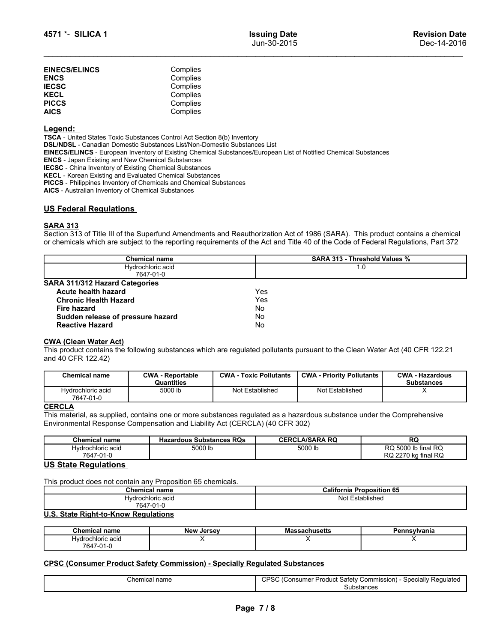| 4571 *- SILICA 1                                                |                                                                                                                                                       | <b>Issuing Date</b><br>Jun-30-2015                                                                                                                                                                                                                                 | <b>Revision Date</b><br>Dec-14-2016 |
|-----------------------------------------------------------------|-------------------------------------------------------------------------------------------------------------------------------------------------------|--------------------------------------------------------------------------------------------------------------------------------------------------------------------------------------------------------------------------------------------------------------------|-------------------------------------|
| <b>EINECS/ELINCS</b>                                            | Complies                                                                                                                                              |                                                                                                                                                                                                                                                                    |                                     |
| <b>ENCS</b>                                                     | Complies                                                                                                                                              |                                                                                                                                                                                                                                                                    |                                     |
| <b>IECSC</b>                                                    | Complies                                                                                                                                              |                                                                                                                                                                                                                                                                    |                                     |
| KECL<br><b>PICCS</b>                                            | Complies<br>Complies                                                                                                                                  |                                                                                                                                                                                                                                                                    |                                     |
| <b>AICS</b>                                                     | Complies                                                                                                                                              |                                                                                                                                                                                                                                                                    |                                     |
| <u>Legend:</u>                                                  |                                                                                                                                                       |                                                                                                                                                                                                                                                                    |                                     |
|                                                                 | TSCA - United States Toxic Substances Control Act Section 8(b) Inventory<br>DSL/NDSL - Canadian Domestic Substances List/Non-Domestic Substances List |                                                                                                                                                                                                                                                                    |                                     |
| <b>ENCS</b> - Japan Existing and New Chemical Substances        |                                                                                                                                                       | EINECS/ELINCS - European Inventory of Existing Chemical Substances/European List of Notified Chemical Substances                                                                                                                                                   |                                     |
| <b>IECSC</b> - China Inventory of Existing Chemical Substances  |                                                                                                                                                       |                                                                                                                                                                                                                                                                    |                                     |
| <b>KECL</b> - Korean Existing and Evaluated Chemical Substances |                                                                                                                                                       |                                                                                                                                                                                                                                                                    |                                     |
| AICS - Australian Inventory of Chemical Substances              | <b>PICCS</b> - Philippines Inventory of Chemicals and Chemical Substances                                                                             |                                                                                                                                                                                                                                                                    |                                     |
| US Federal Regulations                                          |                                                                                                                                                       |                                                                                                                                                                                                                                                                    |                                     |
| <u>SARA 313</u>                                                 |                                                                                                                                                       |                                                                                                                                                                                                                                                                    |                                     |
|                                                                 |                                                                                                                                                       | Section 313 of Title III of the Superfund Amendments and Reauthorization Act of 1986 (SARA). This product contains a chemical<br>or chemicals which are subject to the reporting requirements of the Act and Title 40 of the Code of Federal Regulations, Part 372 |                                     |
|                                                                 |                                                                                                                                                       |                                                                                                                                                                                                                                                                    |                                     |

# SARA 313

| 4571 *- SILICA 1                                                                                                                                                                                                                                                                                                                                                                                                                                                                                                                                                                                                                 |                                                          |                               | <b>Issuing Date</b><br>Jun-30-2015 |                                  |  | <b>Revision Date</b><br>Dec-14-2016         |
|----------------------------------------------------------------------------------------------------------------------------------------------------------------------------------------------------------------------------------------------------------------------------------------------------------------------------------------------------------------------------------------------------------------------------------------------------------------------------------------------------------------------------------------------------------------------------------------------------------------------------------|----------------------------------------------------------|-------------------------------|------------------------------------|----------------------------------|--|---------------------------------------------|
| <b>EINECS/ELINCS</b><br><b>ENCS</b><br><b>IECSC</b><br><b>KECL</b><br><b>PICCS</b>                                                                                                                                                                                                                                                                                                                                                                                                                                                                                                                                               | Complies<br>Complies<br>Complies<br>Complies<br>Complies |                               |                                    |                                  |  |                                             |
| <b>AICS</b><br><u>Legend:</u><br>TSCA - United States Toxic Substances Control Act Section 8(b) Inventory<br>DSL/NDSL - Canadian Domestic Substances List/Non-Domestic Substances List<br>EINECS/ELINCS - European Inventory of Existing Chemical Substances/European List of Notified Chemical Substances<br><b>ENCS</b> - Japan Existing and New Chemical Substances<br><b>IECSC</b> - China Inventory of Existing Chemical Substances<br>KECL - Korean Existing and Evaluated Chemical Substances<br>PICCS - Philippines Inventory of Chemicals and Chemical Substances<br>AICS - Australian Inventory of Chemical Substances | Complies                                                 |                               |                                    |                                  |  |                                             |
| <b>US Federal Regulations</b>                                                                                                                                                                                                                                                                                                                                                                                                                                                                                                                                                                                                    |                                                          |                               |                                    |                                  |  |                                             |
| <b>SARA 313</b><br>Section 313 of Title III of the Superfund Amendments and Reauthorization Act of 1986 (SARA). This product contains a chemical<br>or chemicals which are subject to the reporting requirements of the Act and Title 40 of the Code of Federal Regulations, Part 372                                                                                                                                                                                                                                                                                                                                            |                                                          |                               |                                    |                                  |  |                                             |
|                                                                                                                                                                                                                                                                                                                                                                                                                                                                                                                                                                                                                                  | <b>Chemical name</b>                                     |                               | SARA 313 - Threshold Values %      |                                  |  |                                             |
|                                                                                                                                                                                                                                                                                                                                                                                                                                                                                                                                                                                                                                  | Hydrochloric acid                                        |                               |                                    | 1.0                              |  |                                             |
| SARA 311/312 Hazard Categories                                                                                                                                                                                                                                                                                                                                                                                                                                                                                                                                                                                                   | 7647-01-0                                                |                               |                                    |                                  |  |                                             |
| Acute health hazard<br><b>Chronic Health Hazard</b><br><b>Fire hazard</b><br>Sudden release of pressure hazard<br><b>Reactive Hazard</b>                                                                                                                                                                                                                                                                                                                                                                                                                                                                                         |                                                          | Yes<br>Yes<br>No<br>No<br>No  |                                    |                                  |  |                                             |
| <b>CWA (Clean Water Act)</b><br>This product contains the following substances which are regulated pollutants pursuant to the Clean Water Act (40 CFR 122.21<br>and 40 CFR 122.42)                                                                                                                                                                                                                                                                                                                                                                                                                                               |                                                          |                               |                                    |                                  |  |                                             |
| <b>Chemical name</b>                                                                                                                                                                                                                                                                                                                                                                                                                                                                                                                                                                                                             | <b>CWA - Reportable</b><br>Quantities                    | <b>CWA - Toxic Pollutants</b> |                                    | <b>CWA - Priority Pollutants</b> |  | <b>CWA - Hazardous</b><br><b>Substances</b> |
| Hydrochloric acid<br>7647-01-0                                                                                                                                                                                                                                                                                                                                                                                                                                                                                                                                                                                                   | 5000 lb                                                  | Not Established               |                                    | Not Established                  |  | X                                           |
| <b>CERCLA</b><br>This material, as supplied, contains one or more substances regulated as a hazardous substance under the Comprehensive<br>Environmental Response Compensation and Liability Act (CERCLA) (40 CFR 302)                                                                                                                                                                                                                                                                                                                                                                                                           |                                                          |                               |                                    |                                  |  |                                             |
| <b>Chemical name</b><br>Hydrochloric acid                                                                                                                                                                                                                                                                                                                                                                                                                                                                                                                                                                                        | <b>Hazardous Substances RQs</b><br>5000 lb               |                               |                                    | <b>CERCLA/SARA RQ</b><br>5000 lb |  | RQ<br>RQ 5000 lb final RQ                   |
| 7647-01-0                                                                                                                                                                                                                                                                                                                                                                                                                                                                                                                                                                                                                        |                                                          |                               |                                    |                                  |  | RQ 2270 kg final RQ                         |
| <b>US State Regulations</b>                                                                                                                                                                                                                                                                                                                                                                                                                                                                                                                                                                                                      |                                                          |                               |                                    |                                  |  |                                             |
| This product does not contain any Proposition 65 chemicals.                                                                                                                                                                                                                                                                                                                                                                                                                                                                                                                                                                      |                                                          |                               |                                    |                                  |  |                                             |
|                                                                                                                                                                                                                                                                                                                                                                                                                                                                                                                                                                                                                                  | <b>Chemical name</b>                                     |                               |                                    | <b>California Proposition 65</b> |  |                                             |
|                                                                                                                                                                                                                                                                                                                                                                                                                                                                                                                                                                                                                                  | Hydrochloric acid<br>7647-01-0                           |                               |                                    | Not Established                  |  |                                             |
| <b>U.S. State Right-to-Know Regulations</b>                                                                                                                                                                                                                                                                                                                                                                                                                                                                                                                                                                                      |                                                          |                               |                                    |                                  |  |                                             |
|                                                                                                                                                                                                                                                                                                                                                                                                                                                                                                                                                                                                                                  |                                                          |                               |                                    |                                  |  |                                             |
| <b>Chemical name</b><br>Hydrochloric acid                                                                                                                                                                                                                                                                                                                                                                                                                                                                                                                                                                                        | <b>New Jersey</b><br>X                                   |                               |                                    | <b>Massachusetts</b><br>Х        |  | Pennsylvania<br>X                           |
|                                                                                                                                                                                                                                                                                                                                                                                                                                                                                                                                                                                                                                  |                                                          |                               |                                    |                                  |  |                                             |

| <b>Fire hazard</b><br>Sudden release of pressure hazard |                                                             | No<br>No                                                                          |                                                                                                                              |                        |
|---------------------------------------------------------|-------------------------------------------------------------|-----------------------------------------------------------------------------------|------------------------------------------------------------------------------------------------------------------------------|------------------------|
| <b>Reactive Hazard</b>                                  |                                                             | No                                                                                |                                                                                                                              |                        |
| <b>CWA (Clean Water Act)</b>                            |                                                             |                                                                                   |                                                                                                                              |                        |
| and 40 CFR 122.42)                                      |                                                             |                                                                                   | This product contains the following substances which are regulated pollutants pursuant to the Clean Water Act (40 CFR 122.21 |                        |
| <b>Chemical name</b>                                    | <b>CWA - Reportable</b>                                     | <b>CWA - Toxic Pollutants</b>                                                     | <b>CWA - Priority Pollutants</b>                                                                                             | <b>CWA - Hazardous</b> |
|                                                         | Quantities                                                  |                                                                                   |                                                                                                                              | <b>Substances</b>      |
| Hydrochloric acid<br>7647-01-0                          | 5000 lb                                                     | Not Established                                                                   |                                                                                                                              | X                      |
| <b>CERCLA</b>                                           |                                                             |                                                                                   |                                                                                                                              |                        |
|                                                         |                                                             |                                                                                   | This material, as supplied, contains one or more substances regulated as a hazardous substance under the Comprehensive       |                        |
|                                                         |                                                             | Environmental Response Compensation and Liability Act (CERCLA) (40 CFR 302)       |                                                                                                                              |                        |
| <b>Hazardous Substances RQs</b><br><b>Chemical name</b> |                                                             |                                                                                   | <b>CERCLA/SARA RQ</b>                                                                                                        | <b>RQ</b>              |
| Hydrochloric acid<br>5000 lb<br>7647-01-0               |                                                             |                                                                                   | RQ 5000 lb final RQ<br>5000 lb<br>RQ 2270 kg final RQ                                                                        |                        |
| <b>US State Regulations</b>                             |                                                             |                                                                                   |                                                                                                                              |                        |
|                                                         |                                                             |                                                                                   |                                                                                                                              |                        |
|                                                         | This product does not contain any Proposition 65 chemicals. |                                                                                   |                                                                                                                              |                        |
|                                                         | <b>Chemical name</b>                                        |                                                                                   | <b>California Proposition 65</b>                                                                                             |                        |
| Hydrochloric acid<br>7647-01-0                          |                                                             |                                                                                   | Not Established                                                                                                              |                        |
| U.S. State Right-to-Know Regulations                    |                                                             |                                                                                   |                                                                                                                              |                        |
| <b>Chemical name</b>                                    | <b>New Jersey</b>                                           |                                                                                   | <b>Massachusetts</b>                                                                                                         | Pennsylvania           |
| Hydrochloric acid<br>X<br>7647-01-0                     |                                                             |                                                                                   | X                                                                                                                            | X                      |
|                                                         |                                                             |                                                                                   |                                                                                                                              |                        |
|                                                         |                                                             | <b>CPSC (Consumer Product Safety Commission) - Specially Regulated Substances</b> |                                                                                                                              |                        |
|                                                         | Chemical name                                               |                                                                                   | CPSC (Consumer Product Safety Commission) - Specially Regulated<br>Substances                                                |                        |
|                                                         |                                                             |                                                                                   |                                                                                                                              |                        |
|                                                         |                                                             |                                                                                   |                                                                                                                              |                        |
|                                                         |                                                             | Page 7/8                                                                          |                                                                                                                              |                        |
|                                                         |                                                             |                                                                                   |                                                                                                                              |                        |
|                                                         |                                                             |                                                                                   |                                                                                                                              |                        |

# **CERCLA**

| 7647-01-0                                                   |                                                                                                                        |                       |                                                                 |
|-------------------------------------------------------------|------------------------------------------------------------------------------------------------------------------------|-----------------------|-----------------------------------------------------------------|
| <b>CERCLA</b>                                               |                                                                                                                        |                       |                                                                 |
|                                                             | This material, as supplied, contains one or more substances regulated as a hazardous substance under the Comprehensive |                       |                                                                 |
|                                                             | Environmental Response Compensation and Liability Act (CERCLA) (40 CFR 302)                                            |                       |                                                                 |
|                                                             |                                                                                                                        |                       |                                                                 |
| <b>Chemical name</b>                                        | <b>Hazardous Substances RQs</b>                                                                                        | <b>CERCLA/SARA RQ</b> | <b>RQ</b>                                                       |
| Hydrochloric acid                                           | 5000 lb                                                                                                                | 5000 lb               | RQ 5000 lb final RQ                                             |
| 7647-01-0                                                   |                                                                                                                        |                       | RQ 2270 kg final RQ                                             |
| <b>US State Regulations</b>                                 |                                                                                                                        |                       |                                                                 |
|                                                             |                                                                                                                        |                       |                                                                 |
| This product does not contain any Proposition 65 chemicals. |                                                                                                                        |                       |                                                                 |
|                                                             | <b>Chemical name</b>                                                                                                   |                       | <b>California Proposition 65</b>                                |
|                                                             | Hydrochloric acid                                                                                                      |                       | Not Established                                                 |
|                                                             | 7647-01-0                                                                                                              |                       |                                                                 |
| <b>U.S. State Right-to-Know Regulations</b>                 |                                                                                                                        |                       |                                                                 |
|                                                             |                                                                                                                        |                       |                                                                 |
| <b>Chemical name</b>                                        | <b>New Jersey</b>                                                                                                      | <b>Massachusetts</b>  | Pennsylvania                                                    |
| Hydrochloric acid                                           | х                                                                                                                      | X                     | X                                                               |
| 7647-01-0                                                   |                                                                                                                        |                       |                                                                 |
|                                                             |                                                                                                                        |                       |                                                                 |
|                                                             | <b>CPSC (Consumer Product Safety Commission) - Specially Regulated Substances</b>                                      |                       |                                                                 |
|                                                             |                                                                                                                        |                       |                                                                 |
| Chemical name                                               |                                                                                                                        |                       | CPSC (Consumer Product Safety Commission) - Specially Regulated |
|                                                             |                                                                                                                        |                       | Substances                                                      |
|                                                             |                                                                                                                        |                       |                                                                 |
|                                                             | Page 7/8                                                                                                               |                       |                                                                 |
|                                                             |                                                                                                                        |                       |                                                                 |
|                                                             |                                                                                                                        |                       |                                                                 |
|                                                             |                                                                                                                        |                       |                                                                 |
|                                                             |                                                                                                                        |                       |                                                                 |
|                                                             |                                                                                                                        |                       |                                                                 |
|                                                             |                                                                                                                        |                       |                                                                 |

| $\sim$<br>l name<br>Chemica.                                                                | <br>roposition 65<br>California<br>-- |  |
|---------------------------------------------------------------------------------------------|---------------------------------------|--|
| vdrochloric acid                                                                            | Not.<br>∽stablisheo                   |  |
| $\overline{\phantom{a}}$<br>$\overline{\phantom{a}}$<br>n<br>64<br><u> - 1</u><br>. .<br>טי |                                       |  |
|                                                                                             |                                       |  |

| <b>Chemical name</b> | <b>New</b><br>, Jersev | Massachusetts | Pennsylvania |
|----------------------|------------------------|---------------|--------------|
| Hydrochloric acid    |                        |               |              |
| 7647-01-0            |                        |               |              |

| :hem<br>name | Regulated<br>(Commission<br>Specially<br>. oduc†<br>. onsumer.<br>Satety<br>ے ت<br>ີ |
|--------------|--------------------------------------------------------------------------------------|
|              | .J⊔bstance⊆<br>1652                                                                  |